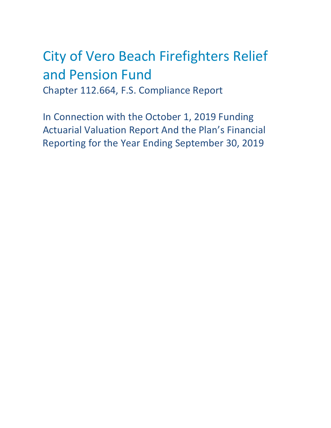# City of Vero Beach Firefighters Relief and Pension Fund Chapter 112.664, F.S. Compliance Report

In Connection with the October 1, 2019 Funding Actuarial Valuation Report And the Plan's Financial Reporting for the Year Ending September 30, 2019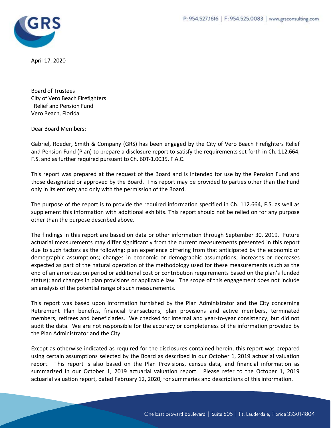

April 17, 2020

Board of Trustees City of Vero Beach Firefighters Relief and Pension Fund Vero Beach, Florida

Dear Board Members:

Gabriel, Roeder, Smith & Company (GRS) has been engaged by the City of Vero Beach Firefighters Relief and Pension Fund (Plan) to prepare a disclosure report to satisfy the requirements set forth in Ch. 112.664, F.S. and as further required pursuant to Ch. 60T-1.0035, F.A.C.

This report was prepared at the request of the Board and is intended for use by the Pension Fund and those designated or approved by the Board. This report may be provided to parties other than the Fund only in its entirety and only with the permission of the Board.

The purpose of the report is to provide the required information specified in Ch. 112.664, F.S. as well as supplement this information with additional exhibits. This report should not be relied on for any purpose other than the purpose described above.

The findings in this report are based on data or other information through September 30, 2019. Future actuarial measurements may differ significantly from the current measurements presented in this report due to such factors as the following: plan experience differing from that anticipated by the economic or demographic assumptions; changes in economic or demographic assumptions; increases or decreases expected as part of the natural operation of the methodology used for these measurements (such as the end of an amortization period or additional cost or contribution requirements based on the plan's funded status); and changes in plan provisions or applicable law. The scope of this engagement does not include an analysis of the potential range of such measurements.

This report was based upon information furnished by the Plan Administrator and the City concerning Retirement Plan benefits, financial transactions, plan provisions and active members, terminated members, retirees and beneficiaries. We checked for internal and year-to-year consistency, but did not audit the data. We are not responsible for the accuracy or completeness of the information provided by the Plan Administrator and the City.

Except as otherwise indicated as required for the disclosures contained herein, this report was prepared using certain assumptions selected by the Board as described in our October 1, 2019 actuarial valuation report. This report is also based on the Plan Provisions, census data, and financial information as summarized in our October 1, 2019 actuarial valuation report. Please refer to the October 1, 2019 actuarial valuation report, dated February 12, 2020, for summaries and descriptions of this information.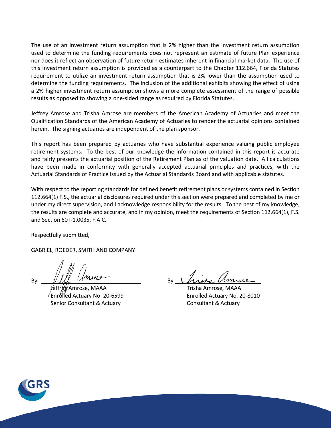The use of an investment return assumption that is 2% higher than the investment return assumption used to determine the funding requirements does not represent an estimate of future Plan experience nor does it reflect an observation of future return estimates inherent in financial market data. The use of this investment return assumption is provided as a counterpart to the Chapter 112.664, Florida Statutes requirement to utilize an investment return assumption that is 2% lower than the assumption used to determine the funding requirements. The inclusion of the additional exhibits showing the effect of using a 2% higher investment return assumption shows a more complete assessment of the range of possible results as opposed to showing a one-sided range as required by Florida Statutes.

Jeffrey Amrose and Trisha Amrose are members of the American Academy of Actuaries and meet the Qualification Standards of the American Academy of Actuaries to render the actuarial opinions contained herein. The signing actuaries are independent of the plan sponsor.

This report has been prepared by actuaries who have substantial experience valuing public employee retirement systems. To the best of our knowledge the information contained in this report is accurate and fairly presents the actuarial position of the Retirement Plan as of the valuation date. All calculations have been made in conformity with generally accepted actuarial principles and practices, with the Actuarial Standards of Practice issued by the Actuarial Standards Board and with applicable statutes.

With respect to the reporting standards for defined benefit retirement plans or systems contained in Section 112.664(1) F.S., the actuarial disclosures required under this section were prepared and completed by me or under my direct supervision, and I acknowledge responsibility for the results. To the best of my knowledge, the results are complete and accurate, and in my opinion, meet the requirements of Section 112.664(1), F.S. and Section 60T-1.0035, F.A.C.

Respectfully submitted,

GABRIEL, ROEDER, SMITH AND COMPANY

 $By \frac{1}{\sqrt{M_r}}$  where  $By$ 

 Jeffrey Amrose, MAAA Trisha Amrose, MAAA Enrolled Actuary No. 20-6599 Enrolled Actuary No. 20-8010 Senior Consultant & Actuary Consultant & Actuary

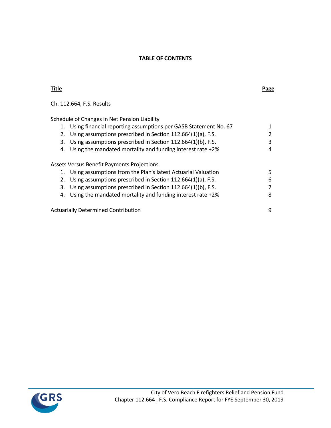## **TABLE OF CONTENTS**

| Title                                                                 | Page |
|-----------------------------------------------------------------------|------|
| Ch. 112.664, F.S. Results                                             |      |
| Schedule of Changes in Net Pension Liability                          |      |
| Using financial reporting assumptions per GASB Statement No. 67<br>1. |      |
| Using assumptions prescribed in Section 112.664(1)(a), F.S.<br>2.     |      |
| Using assumptions prescribed in Section 112.664(1)(b), F.S.<br>3.     | 3    |
| Using the mandated mortality and funding interest rate +2%<br>4.      | 4    |
| Assets Versus Benefit Payments Projections                            |      |
| Using assumptions from the Plan's latest Actuarial Valuation<br>1.    | 5    |
| Using assumptions prescribed in Section 112.664(1)(a), F.S.<br>2.     | 6    |
| Using assumptions prescribed in Section 112.664(1)(b), F.S.<br>3.     |      |
| Using the mandated mortality and funding interest rate $+2\%$<br>4.   | 8    |
| <b>Actuarially Determined Contribution</b>                            | 9    |

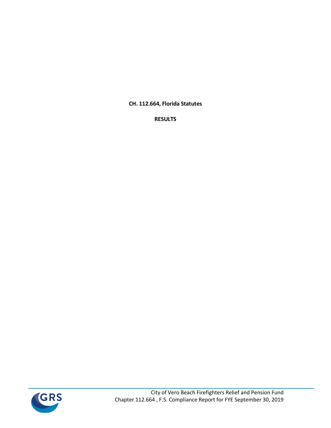**CH. 112.664, Florida Statutes**

**RESULTS**

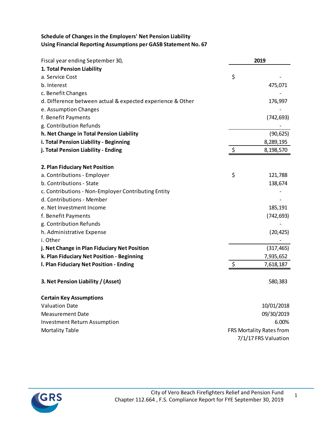# **Schedule of Changes in the Employers' Net Pension Liability Using Financial Reporting Assumptions per GASB Statement No. 67**

| Fiscal year ending September 30,                           | 2019                     |
|------------------------------------------------------------|--------------------------|
| 1. Total Pension Liability                                 |                          |
| a. Service Cost                                            | \$                       |
| b. Interest                                                | 475,071                  |
| c. Benefit Changes                                         |                          |
| d. Difference between actual & expected experience & Other | 176,997                  |
| e. Assumption Changes                                      |                          |
| f. Benefit Payments                                        | (742, 693)               |
| g. Contribution Refunds                                    |                          |
| h. Net Change in Total Pension Liability                   | (90, 625)                |
| i. Total Pension Liability - Beginning                     | 8,289,195                |
| j. Total Pension Liability - Ending                        | \$<br>8,198,570          |
| 2. Plan Fiduciary Net Position                             |                          |
| a. Contributions - Employer                                | \$<br>121,788            |
| b. Contributions - State                                   | 138,674                  |
| c. Contributions - Non-Employer Contributing Entity        |                          |
| d. Contributions - Member                                  |                          |
| e. Net Investment Income                                   | 185,191                  |
| f. Benefit Payments                                        | (742, 693)               |
| g. Contribution Refunds                                    |                          |
| h. Administrative Expense                                  | (20, 425)                |
| i. Other                                                   |                          |
| j. Net Change in Plan Fiduciary Net Position               | (317, 465)               |
| k. Plan Fiduciary Net Position - Beginning                 | 7,935,652                |
| I. Plan Fiduciary Net Position - Ending                    | \$<br>7,618,187          |
| 3. Net Pension Liability / (Asset)                         | 580,383                  |
| <b>Certain Key Assumptions</b>                             |                          |
| <b>Valuation Date</b>                                      | 10/01/2018               |
| <b>Measurement Date</b>                                    | 09/30/2019               |
| <b>Investment Return Assumption</b>                        | 6.00%                    |
| <b>Mortality Table</b>                                     | FRS Mortality Rates from |
|                                                            | 7/1/17 FRS Valuation     |

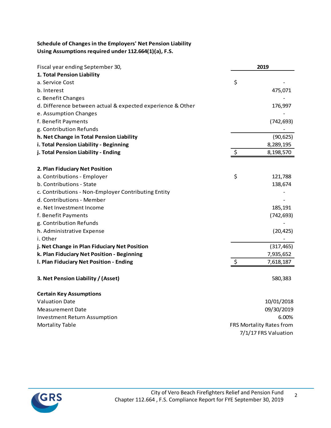# **Schedule of Changes in the Employers' Net Pension Liability Using Assumptions required under 112.664(1)(a), F.S.**

| Fiscal year ending September 30,                           | 2019                     |
|------------------------------------------------------------|--------------------------|
| 1. Total Pension Liability                                 |                          |
| a. Service Cost                                            | \$                       |
| b. Interest                                                | 475,071                  |
| c. Benefit Changes                                         |                          |
| d. Difference between actual & expected experience & Other | 176,997                  |
| e. Assumption Changes                                      |                          |
| f. Benefit Payments                                        | (742, 693)               |
| g. Contribution Refunds                                    |                          |
| h. Net Change in Total Pension Liability                   | (90, 625)                |
| i. Total Pension Liability - Beginning                     | 8,289,195                |
| j. Total Pension Liability - Ending                        | \$<br>8,198,570          |
| 2. Plan Fiduciary Net Position                             |                          |
| a. Contributions - Employer                                | \$<br>121,788            |
| b. Contributions - State                                   | 138,674                  |
| c. Contributions - Non-Employer Contributing Entity        |                          |
| d. Contributions - Member                                  |                          |
| e. Net Investment Income                                   | 185,191                  |
| f. Benefit Payments                                        | (742, 693)               |
| g. Contribution Refunds                                    |                          |
| h. Administrative Expense                                  | (20, 425)                |
| i. Other                                                   |                          |
| j. Net Change in Plan Fiduciary Net Position               | (317, 465)               |
| k. Plan Fiduciary Net Position - Beginning                 | 7,935,652                |
| I. Plan Fiduciary Net Position - Ending                    | \$<br>7,618,187          |
| 3. Net Pension Liability / (Asset)                         | 580,383                  |
| <b>Certain Key Assumptions</b>                             |                          |
| <b>Valuation Date</b>                                      | 10/01/2018               |
| Measurement Date                                           | 09/30/2019               |
| <b>Investment Return Assumption</b>                        | 6.00%                    |
| <b>Mortality Table</b>                                     | FRS Mortality Rates from |
|                                                            | 7/1/17 FRS Valuation     |

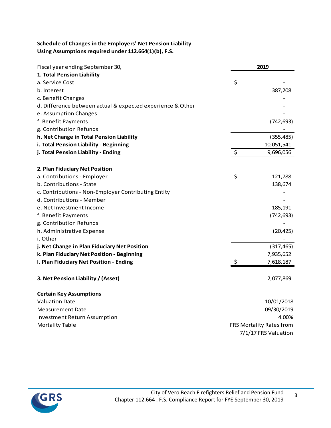# **Schedule of Changes in the Employers' Net Pension Liability Using Assumptions required under 112.664(1)(b), F.S.**

| Fiscal year ending September 30,                           | 2019                     |
|------------------------------------------------------------|--------------------------|
| 1. Total Pension Liability                                 |                          |
| a. Service Cost                                            | \$                       |
| b. Interest                                                | 387,208                  |
| c. Benefit Changes                                         |                          |
| d. Difference between actual & expected experience & Other |                          |
| e. Assumption Changes                                      |                          |
| f. Benefit Payments                                        | (742, 693)               |
| g. Contribution Refunds                                    |                          |
| h. Net Change in Total Pension Liability                   | (355, 485)               |
| i. Total Pension Liability - Beginning                     | 10,051,541               |
| j. Total Pension Liability - Ending                        | \$<br>9,696,056          |
| 2. Plan Fiduciary Net Position                             |                          |
| a. Contributions - Employer                                | \$<br>121,788            |
| b. Contributions - State                                   | 138,674                  |
| c. Contributions - Non-Employer Contributing Entity        |                          |
| d. Contributions - Member                                  |                          |
| e. Net Investment Income                                   | 185,191                  |
| f. Benefit Payments                                        | (742, 693)               |
| g. Contribution Refunds                                    |                          |
| h. Administrative Expense                                  | (20, 425)                |
| i. Other                                                   |                          |
| j. Net Change in Plan Fiduciary Net Position               | (317, 465)               |
| k. Plan Fiduciary Net Position - Beginning                 | 7,935,652                |
| I. Plan Fiduciary Net Position - Ending                    | \$<br>7,618,187          |
| 3. Net Pension Liability / (Asset)                         | 2,077,869                |
| <b>Certain Key Assumptions</b>                             |                          |
| <b>Valuation Date</b>                                      | 10/01/2018               |
| <b>Measurement Date</b>                                    | 09/30/2019               |
| <b>Investment Return Assumption</b>                        | 4.00%                    |
| <b>Mortality Table</b>                                     | FRS Mortality Rates from |
|                                                            | 7/1/17 FRS Valuation     |



3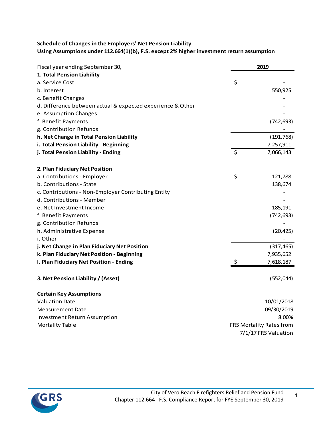## **Schedule of Changes in the Employers' Net Pension Liability Using Assumptions under 112.664(1)(b), F.S. except 2% higher investment return assumption**

| Fiscal year ending September 30,                           | 2019                     |
|------------------------------------------------------------|--------------------------|
| 1. Total Pension Liability                                 |                          |
| a. Service Cost                                            | \$                       |
| b. Interest                                                | 550,925                  |
| c. Benefit Changes                                         |                          |
| d. Difference between actual & expected experience & Other |                          |
| e. Assumption Changes                                      |                          |
| f. Benefit Payments                                        | (742, 693)               |
| g. Contribution Refunds                                    |                          |
| h. Net Change in Total Pension Liability                   | (191, 768)               |
| i. Total Pension Liability - Beginning                     | 7,257,911                |
| j. Total Pension Liability - Ending                        | \$<br>7,066,143          |
| 2. Plan Fiduciary Net Position                             |                          |
| a. Contributions - Employer                                | \$<br>121,788            |
| b. Contributions - State                                   | 138,674                  |
| c. Contributions - Non-Employer Contributing Entity        |                          |
| d. Contributions - Member                                  |                          |
| e. Net Investment Income                                   | 185,191                  |
| f. Benefit Payments                                        | (742, 693)               |
| g. Contribution Refunds                                    |                          |
| h. Administrative Expense                                  |                          |
| i. Other                                                   | (20, 425)                |
| j. Net Change in Plan Fiduciary Net Position               | (317, 465)               |
| k. Plan Fiduciary Net Position - Beginning                 | 7,935,652                |
| I. Plan Fiduciary Net Position - Ending                    | \$<br>7,618,187          |
|                                                            |                          |
| 3. Net Pension Liability / (Asset)                         | (552, 044)               |
| <b>Certain Key Assumptions</b>                             |                          |
| <b>Valuation Date</b>                                      | 10/01/2018               |
| <b>Measurement Date</b>                                    | 09/30/2019               |
| <b>Investment Return Assumption</b>                        | 8.00%                    |
| <b>Mortality Table</b>                                     | FRS Mortality Rates from |
|                                                            | 7/1/17 FRS Valuation     |

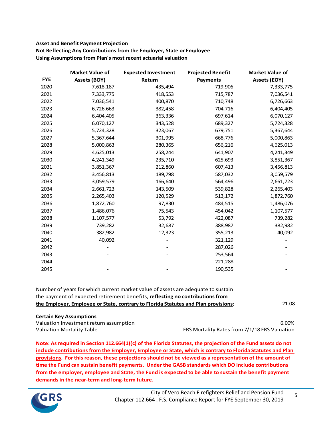# **Asset and Benefit Payment Projection**

**Not Reflecting Any Contributions from the Employer, State or Employee Using Assumptions from Plan's most recent actuarial valuation**

|            | <b>Market Value of</b> | <b>Expected Investment</b> | <b>Projected Benefit</b> | <b>Market Value of</b> |
|------------|------------------------|----------------------------|--------------------------|------------------------|
| <b>FYE</b> | <b>Assets (BOY)</b>    | Return                     | <b>Payments</b>          | <b>Assets (EOY)</b>    |
| 2020       | 7,618,187              | 435,494                    | 719,906                  | 7,333,775              |
| 2021       | 7,333,775              | 418,553                    | 715,787                  | 7,036,541              |
| 2022       | 7,036,541              | 400,870                    | 710,748                  | 6,726,663              |
| 2023       | 6,726,663              | 382,458                    | 704,716                  | 6,404,405              |
| 2024       | 6,404,405              | 363,336                    | 697,614                  | 6,070,127              |
| 2025       | 6,070,127              | 343,528                    | 689,327                  | 5,724,328              |
| 2026       | 5,724,328              | 323,067                    | 679,751                  | 5,367,644              |
| 2027       | 5,367,644              | 301,995                    | 668,776                  | 5,000,863              |
| 2028       | 5,000,863              | 280,365                    | 656,216                  | 4,625,013              |
| 2029       | 4,625,013              | 258,244                    | 641,907                  | 4,241,349              |
| 2030       | 4,241,349              | 235,710                    | 625,693                  | 3,851,367              |
| 2031       | 3,851,367              | 212,860                    | 607,413                  | 3,456,813              |
| 2032       | 3,456,813              | 189,798                    | 587,032                  | 3,059,579              |
| 2033       | 3,059,579              | 166,640                    | 564,496                  | 2,661,723              |
| 2034       | 2,661,723              | 143,509                    | 539,828                  | 2,265,403              |
| 2035       | 2,265,403              | 120,529                    | 513,172                  | 1,872,760              |
| 2036       | 1,872,760              | 97,830                     | 484,515                  | 1,486,076              |
| 2037       | 1,486,076              | 75,543                     | 454,042                  | 1,107,577              |
| 2038       | 1,107,577              | 53,792                     | 422,087                  | 739,282                |
| 2039       | 739,282                | 32,687                     | 388,987                  | 382,982                |
| 2040       | 382,982                | 12,323                     | 355,213                  | 40,092                 |
| 2041       | 40,092                 |                            | 321,129                  |                        |
| 2042       |                        |                            | 287,026                  |                        |
| 2043       |                        |                            | 253,564                  |                        |
| 2044       |                        |                            | 221,288                  |                        |
| 2045       |                        |                            | 190,535                  |                        |

| Number of years for which current market value of assets are adequate to sustain   |       |
|------------------------------------------------------------------------------------|-------|
| the payment of expected retirement benefits, reflecting no contributions from      |       |
| the Employer, Employee or State, contrary to Florida Statutes and Plan provisions: | 21.08 |

#### **Certain Key Assumptions**

Valuation Investment return assumption 6.00% Valuation Mortality Table **FRS Mortality Rates from 7/1/18 FRS Valuation** 

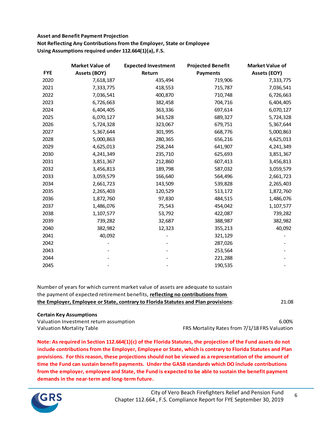## **Asset and Benefit Payment Projection Not Reflecting Any Contributions from the Employer, State or Employee Using Assumptions required under 112.664(1)(a), F.S.**

|            | <b>Market Value of</b> | <b>Expected Investment</b> | <b>Projected Benefit</b> | <b>Market Value of</b> |
|------------|------------------------|----------------------------|--------------------------|------------------------|
| <b>FYE</b> | Assets (BOY)           | Return                     | <b>Payments</b>          | <b>Assets (EOY)</b>    |
| 2020       | 7,618,187              | 435,494                    | 719,906                  | 7,333,775              |
| 2021       | 7,333,775              | 418,553                    | 715,787                  | 7,036,541              |
| 2022       | 7,036,541              | 400,870                    | 710,748                  | 6,726,663              |
| 2023       | 6,726,663              | 382,458                    | 704,716                  | 6,404,405              |
| 2024       | 6,404,405              | 363,336                    | 697,614                  | 6,070,127              |
| 2025       | 6,070,127              | 343,528                    | 689,327                  | 5,724,328              |
| 2026       | 5,724,328              | 323,067                    | 679,751                  | 5,367,644              |
| 2027       | 5,367,644              | 301,995                    | 668,776                  | 5,000,863              |
| 2028       | 5,000,863              | 280,365                    | 656,216                  | 4,625,013              |
| 2029       | 4,625,013              | 258,244                    | 641,907                  | 4,241,349              |
| 2030       | 4,241,349              | 235,710                    | 625,693                  | 3,851,367              |
| 2031       | 3,851,367              | 212,860                    | 607,413                  | 3,456,813              |
| 2032       | 3,456,813              | 189,798                    | 587,032                  | 3,059,579              |
| 2033       | 3,059,579              | 166,640                    | 564,496                  | 2,661,723              |
| 2034       | 2,661,723              | 143,509                    | 539,828                  | 2,265,403              |
| 2035       | 2,265,403              | 120,529                    | 513,172                  | 1,872,760              |
| 2036       | 1,872,760              | 97,830                     | 484,515                  | 1,486,076              |
| 2037       | 1,486,076              | 75,543                     | 454,042                  | 1,107,577              |
| 2038       | 1,107,577              | 53,792                     | 422,087                  | 739,282                |
| 2039       | 739,282                | 32,687                     | 388,987                  | 382,982                |
| 2040       | 382,982                | 12,323                     | 355,213                  | 40,092                 |
| 2041       | 40,092                 |                            | 321,129                  |                        |
| 2042       |                        |                            | 287,026                  |                        |
| 2043       |                        |                            | 253,564                  |                        |
| 2044       |                        |                            | 221,288                  |                        |
| 2045       |                        |                            | 190,535                  |                        |

21.08 Number of years for which current market value of assets are adequate to sustain the payment of expected retirement benefits, **reflecting no contributions from the Employer, Employee or State, contrary to Florida Statutes and Plan provisions**:

## **Certain Key Assumptions**

Valuation Investment return assumption 6.00%

Valuation Mortality Table FRS Mortality Rates from 7/1/18 FRS Valuation

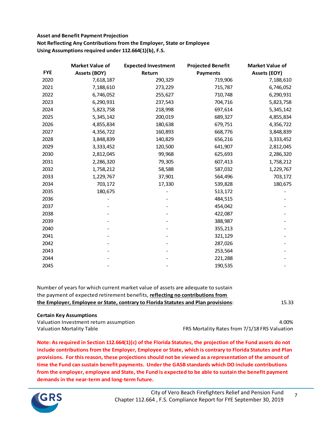## **Asset and Benefit Payment Projection Not Reflecting Any Contributions from the Employer, State or Employee Using Assumptions required under 112.664(1)(b), F.S.**

|            | <b>Market Value of</b> | <b>Expected Investment</b> | <b>Projected Benefit</b> | <b>Market Value of</b> |
|------------|------------------------|----------------------------|--------------------------|------------------------|
| <b>FYE</b> | Assets (BOY)           | Return                     | <b>Payments</b>          | <b>Assets (EOY)</b>    |
| 2020       | 7,618,187              | 290,329                    | 719,906                  | 7,188,610              |
| 2021       | 7,188,610              | 273,229                    | 715,787                  | 6,746,052              |
| 2022       | 6,746,052              | 255,627                    | 710,748                  | 6,290,931              |
| 2023       | 6,290,931              | 237,543                    | 704,716                  | 5,823,758              |
| 2024       | 5,823,758              | 218,998                    | 697,614                  | 5,345,142              |
| 2025       | 5,345,142              | 200,019                    | 689,327                  | 4,855,834              |
| 2026       | 4,855,834              | 180,638                    | 679,751                  | 4,356,722              |
| 2027       | 4,356,722              | 160,893                    | 668,776                  | 3,848,839              |
| 2028       | 3,848,839              | 140,829                    | 656,216                  | 3,333,452              |
| 2029       | 3,333,452              | 120,500                    | 641,907                  | 2,812,045              |
| 2030       | 2,812,045              | 99,968                     | 625,693                  | 2,286,320              |
| 2031       | 2,286,320              | 79,305                     | 607,413                  | 1,758,212              |
| 2032       | 1,758,212              | 58,588                     | 587,032                  | 1,229,767              |
| 2033       | 1,229,767              | 37,901                     | 564,496                  | 703,172                |
| 2034       | 703,172                | 17,330                     | 539,828                  | 180,675                |
| 2035       | 180,675                |                            | 513,172                  |                        |
| 2036       |                        |                            | 484,515                  |                        |
| 2037       |                        |                            | 454,042                  |                        |
| 2038       |                        |                            | 422,087                  |                        |
| 2039       |                        |                            | 388,987                  |                        |
| 2040       |                        |                            | 355,213                  |                        |
| 2041       |                        |                            | 321,129                  |                        |
| 2042       |                        |                            | 287,026                  |                        |
| 2043       |                        |                            | 253,564                  |                        |
| 2044       |                        |                            | 221,288                  |                        |
| 2045       |                        |                            | 190,535                  |                        |

| Number of years for which current market value of assets are adequate to sustain   |       |
|------------------------------------------------------------------------------------|-------|
| the payment of expected retirement benefits, reflecting no contributions from      |       |
| the Employer, Employee or State, contrary to Florida Statutes and Plan provisions: | 15.33 |

#### **Certain Key Assumptions**

Valuation Investment return assumption and the control of the control of the control of the control of the control of the control of the control of the control of the control of the control of the control of the control of Valuation Mortality Table FRS Mortality Rates from 7/1/18 FRS Valuation

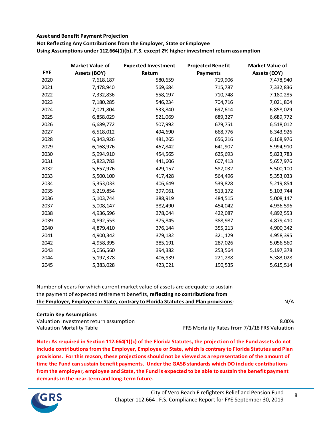## **Asset and Benefit Payment Projection**

**Not Reflecting Any Contributions from the Employer, State or Employee Using Assumptions under 112.664(1)(b), F.S. except 2% higher investment return assumption**

|            | <b>Market Value of</b> | <b>Expected Investment</b> | <b>Projected Benefit</b> | <b>Market Value of</b> |
|------------|------------------------|----------------------------|--------------------------|------------------------|
| <b>FYE</b> | <b>Assets (BOY)</b>    | Return                     | <b>Payments</b>          | <b>Assets (EOY)</b>    |
| 2020       | 7,618,187              | 580,659                    | 719,906                  | 7,478,940              |
| 2021       | 7,478,940              | 569,684                    | 715,787                  | 7,332,836              |
| 2022       | 7,332,836              | 558,197                    | 710,748                  | 7,180,285              |
| 2023       | 7,180,285              | 546,234                    | 704,716                  | 7,021,804              |
| 2024       | 7,021,804              | 533,840                    | 697,614                  | 6,858,029              |
| 2025       | 6,858,029              | 521,069                    | 689,327                  | 6,689,772              |
| 2026       | 6,689,772              | 507,992                    | 679,751                  | 6,518,012              |
| 2027       | 6,518,012              | 494,690                    | 668,776                  | 6,343,926              |
| 2028       | 6,343,926              | 481,265                    | 656,216                  | 6,168,976              |
| 2029       | 6,168,976              | 467,842                    | 641,907                  | 5,994,910              |
| 2030       | 5,994,910              | 454,565                    | 625,693                  | 5,823,783              |
| 2031       | 5,823,783              | 441,606                    | 607,413                  | 5,657,976              |
| 2032       | 5,657,976              | 429,157                    | 587,032                  | 5,500,100              |
| 2033       | 5,500,100              | 417,428                    | 564,496                  | 5,353,033              |
| 2034       | 5,353,033              | 406,649                    | 539,828                  | 5,219,854              |
| 2035       | 5,219,854              | 397,061                    | 513,172                  | 5,103,744              |
| 2036       | 5,103,744              | 388,919                    | 484,515                  | 5,008,147              |
| 2037       | 5,008,147              | 382,490                    | 454,042                  | 4,936,596              |
| 2038       | 4,936,596              | 378,044                    | 422,087                  | 4,892,553              |
| 2039       | 4,892,553              | 375,845                    | 388,987                  | 4,879,410              |
| 2040       | 4,879,410              | 376,144                    | 355,213                  | 4,900,342              |
| 2041       | 4,900,342              | 379,182                    | 321,129                  | 4,958,395              |
| 2042       | 4,958,395              | 385,191                    | 287,026                  | 5,056,560              |
| 2043       | 5,056,560              | 394,382                    | 253,564                  | 5,197,378              |
| 2044       | 5,197,378              | 406,939                    | 221,288                  | 5,383,028              |
| 2045       | 5,383,028              | 423,021                    | 190,535                  | 5,615,514              |

| the Employer, Employee or State, contrary to Florida Statutes and Plan provisions:   | N/A |
|--------------------------------------------------------------------------------------|-----|
| the payment of expected retirement benefits, <b>reflecting no contributions from</b> |     |
| Number of years for which current market value of assets are adequate to sustain     |     |

## **Certain Key Assumptions**

Valuation Investment return assumption 8.00% Valuation Mortality Table **FRS Mortality Rates from 7/1/18 FRS Valuation**